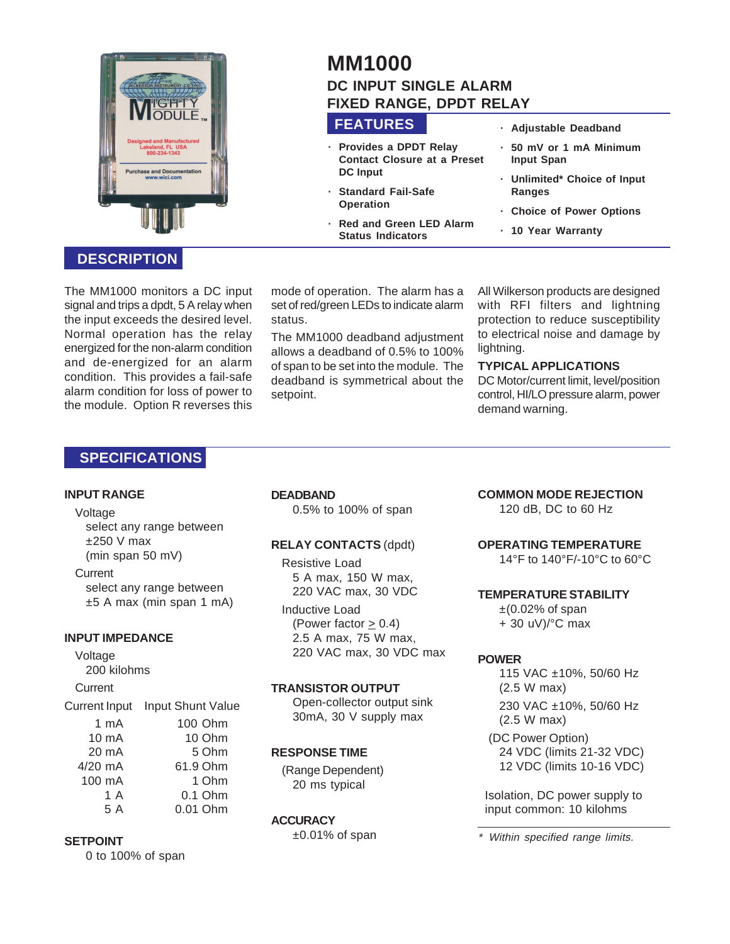

# **DESCRIPTION**

The MM1000 monitors a DC input signal and trips a dpdt, 5 A relay when the input exceeds the desired level. Normal operation has the relay energized for the non-alarm condition and de-energized for an alarm condition. This provides a fail-safe alarm condition for loss of power to the module. Option R reverses this

#### mode of operation. The alarm has a set of red/green LEDs to indicate alarm status.

**FEATURES**

**DC Input**

**Operation**

**· Provides a DPDT Relay Contact Closure at a Preset**

**· Standard Fail-Safe**

**Status Indicators**

**· Red and Green LED Alarm**

**DC INPUT SINGLE ALARM FIXED RANGE, DPDT RELAY**

**MM1000**

The MM1000 deadband adjustment allows a deadband of 0.5% to 100% of span to be set into the module. The deadband is symmetrical about the setpoint.

All Wilkerson products are designed with RFI filters and lightning protection to reduce susceptibility to electrical noise and damage by lightning.

**· Adjustable Deadband · 50 mV or 1 mA Minimum**

**· Unlimited\* Choice of Input**

**· Choice of Power Options**

**· 10 Year Warranty**

**Input Span**

**Ranges**

### **TYPICAL APPLICATIONS**

DC Motor/current limit, level/position control, HI/LO pressure alarm, power demand warning.

## **SPECIFICATIONS**

#### **INPUT RANGE**

#### Voltage

select any range between  $±250$  V max (min span 50 mV)

**Current** select any range between ±5 A max (min span 1 mA)

### **INPUT IMPEDANCE**

Voltage 200 kilohms **Current** 

Current Input Input Shunt Value 1 mA 100 Ohm 10 mA 10 Ohm 20 mA 5 Ohm<br>4/20 mA 61.9 Ohm 61.9 Ohm 100 mA 1 Ohm 1 A 0.1 Ohm 5 A 0.01 Ohm

### **SETPOINT**

0 to 100% of span

### **DEADBAND**

0.5% to 100% of span

# **RELAY CONTACTS** (dpdt)

Resistive Load 5 A max, 150 W max, 220 VAC max, 30 VDC

Inductive Load (Power factor  $\geq$  0.4) 2.5 A max, 75 W max, 220 VAC max, 30 VDC max

### **TRANSISTOR OUTPUT**

Open-collector output sink 30mA, 30 V supply max

### **RESPONSE TIME**

(Range Dependent) 20 ms typical

### **ACCURACY**

±0.01% of span

## **COMMON MODE REJECTION**

120 dB, DC to 60 Hz

### **OPERATING TEMPERATURE**

14°F to 140°F/-10°C to 60°C

#### **TEMPERATURE STABILITY**

 $\pm$ (0.02% of span + 30 uV)/°C max

### **POWER**

115 VAC ±10%, 50/60 Hz (2.5 W max) 230 VAC ±10%, 50/60 Hz (2.5 W max)

(DC Power Option) 24 VDC (limits 21-32 VDC) 12 VDC (limits 10-16 VDC)

Isolation, DC power supply to input common: 10 kilohms

\*Within specified range limits.